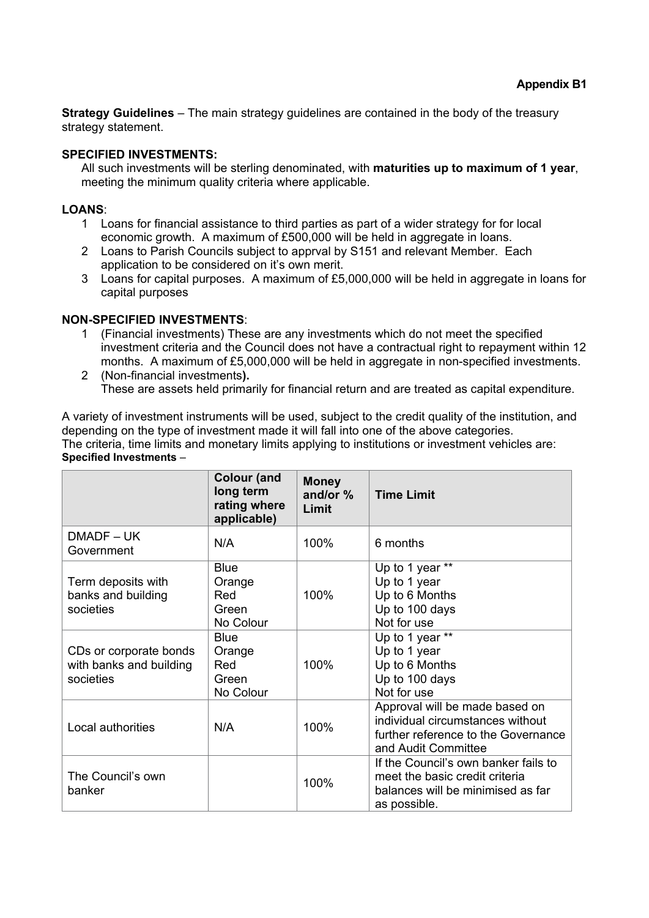**Strategy Guidelines** – The main strategy guidelines are contained in the body of the treasury strategy statement.

## **SPECIFIED INVESTMENTS:**

All such investments will be sterling denominated, with **maturities up to maximum of 1 year**, meeting the minimum quality criteria where applicable.

### **LOANS**:

- 1 Loans for financial assistance to third parties as part of a wider strategy for for local economic growth. A maximum of £500,000 will be held in aggregate in loans.
- 2 Loans to Parish Councils subject to apprval by S151 and relevant Member. Each application to be considered on it's own merit.
- 3 Loans for capital purposes. A maximum of £5,000,000 will be held in aggregate in loans for capital purposes

## **NON-SPECIFIED INVESTMENTS**:

- 1 (Financial investments) These are any investments which do not meet the specified investment criteria and the Council does not have a contractual right to repayment within 12 months. A maximum of £5,000,000 will be held in aggregate in non-specified investments.
- 2 (Non-financial investments**).** These are assets held primarily for financial return and are treated as capital expenditure.

A variety of investment instruments will be used, subject to the credit quality of the institution, and depending on the type of investment made it will fall into one of the above categories. The criteria, time limits and monetary limits applying to institutions or investment vehicles are: **Specified Investments** –

|                                                                | <b>Colour (and</b><br>long term<br>rating where<br>applicable) | <b>Money</b><br>and/or %<br>Limit | <b>Time Limit</b>                                                                                                                |
|----------------------------------------------------------------|----------------------------------------------------------------|-----------------------------------|----------------------------------------------------------------------------------------------------------------------------------|
| DMADF-UK<br>Government                                         | N/A                                                            | 100%                              | 6 months                                                                                                                         |
| Term deposits with<br>banks and building<br>societies          | <b>Blue</b><br>Orange<br>Red<br>Green<br>No Colour             | 100%                              | Up to 1 year **<br>Up to 1 year<br>Up to 6 Months<br>Up to 100 days<br>Not for use                                               |
| CDs or corporate bonds<br>with banks and building<br>societies | <b>Blue</b><br>Orange<br>Red<br>Green<br>No Colour             | 100%                              | Up to 1 year **<br>Up to 1 year<br>Up to 6 Months<br>Up to 100 days<br>Not for use                                               |
| Local authorities                                              | N/A                                                            | 100%                              | Approval will be made based on<br>individual circumstances without<br>further reference to the Governance<br>and Audit Committee |
| The Council's own<br>banker                                    |                                                                | 100%                              | If the Council's own banker fails to<br>meet the basic credit criteria<br>balances will be minimised as far<br>as possible.      |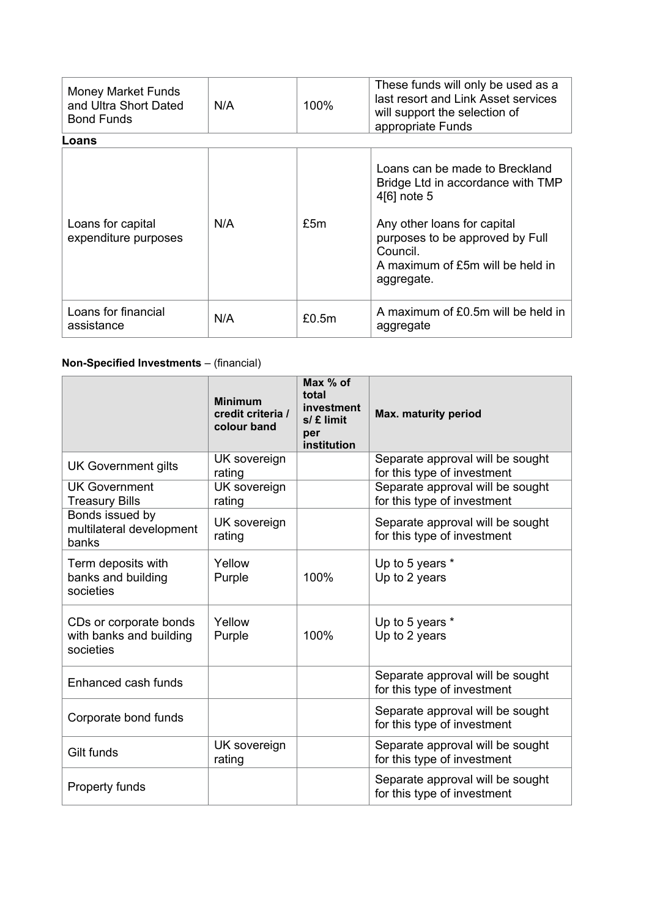| <b>Money Market Funds</b><br>and Ultra Short Dated<br><b>Bond Funds</b> | N/A | 100%  | These funds will only be used as a<br>last resort and Link Asset services<br>will support the selection of<br>appropriate Funds                                                                                    |
|-------------------------------------------------------------------------|-----|-------|--------------------------------------------------------------------------------------------------------------------------------------------------------------------------------------------------------------------|
| Loans                                                                   |     |       |                                                                                                                                                                                                                    |
| Loans for capital<br>expenditure purposes                               | N/A | £5m   | Loans can be made to Breckland<br>Bridge Ltd in accordance with TMP<br>4[6] note 5<br>Any other loans for capital<br>purposes to be approved by Full<br>Council.<br>A maximum of £5m will be held in<br>aggregate. |
| Loans for financial<br>assistance                                       | N/A | £0.5m | A maximum of £0.5m will be held in<br>aggregate                                                                                                                                                                    |

# **Non-Specified Investments** – (financial)

|                                                                | <b>Minimum</b><br>credit criteria /<br>colour band | Max % of<br>total<br>investment<br>$s/f$ limit<br>per<br>institution | Max. maturity period                                            |
|----------------------------------------------------------------|----------------------------------------------------|----------------------------------------------------------------------|-----------------------------------------------------------------|
| <b>UK Government gilts</b>                                     | UK sovereign<br>rating                             |                                                                      | Separate approval will be sought<br>for this type of investment |
| <b>UK Government</b><br><b>Treasury Bills</b>                  | UK sovereign<br>rating                             |                                                                      | Separate approval will be sought<br>for this type of investment |
| Bonds issued by<br>multilateral development<br>banks           | UK sovereign<br>rating                             |                                                                      | Separate approval will be sought<br>for this type of investment |
| Term deposits with<br>banks and building<br>societies          | Yellow<br>Purple                                   | 100%                                                                 | Up to 5 years *<br>Up to 2 years                                |
| CDs or corporate bonds<br>with banks and building<br>societies | Yellow<br>Purple                                   | 100%                                                                 | Up to 5 years *<br>Up to 2 years                                |
| Enhanced cash funds                                            |                                                    |                                                                      | Separate approval will be sought<br>for this type of investment |
| Corporate bond funds                                           |                                                    |                                                                      | Separate approval will be sought<br>for this type of investment |
| Gilt funds                                                     | UK sovereign<br>rating                             |                                                                      | Separate approval will be sought<br>for this type of investment |
| Property funds                                                 |                                                    |                                                                      | Separate approval will be sought<br>for this type of investment |